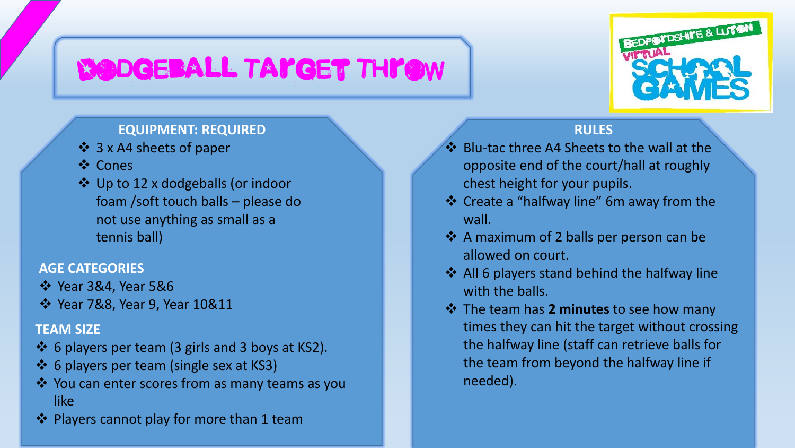# Dodgeball Target Throw



### **EQUIPMENT: REQUIRED**

- ❖ 3 x A4 sheets of paper
- ❖ Cones
- ❖ Up to 12 x dodgeballs (or indoor foam /soft touch balls – please do not use anything as small as a tennis ball)

### **AGE CATEGORIES**

### $\div$  Year 3&4, Year 5&6

Year 7&8, Year 9, Year 10&11

#### **TEAM SIZE**

- $\div$  6 players per team (3 girls and 3 boys at KS2).
- ❖ 6 players per team (single sex at KS3)
- You can enter scores from as many teams as you like
- $\cdot$  Players cannot play for more than 1 team

## **RULES**

- ❖ Blu-tac three A4 Sheets to the wall at the opposite end of the court/hall at roughly chest height for your pupils.
- Create a "halfway line" 6m away from the wall.
- ❖ A maximum of 2 balls per person can be allowed on court.
- ❖ All 6 players stand behind the halfway line with the balls.
- The team has **2 minutes** to see how many times they can hit the target without crossing the halfway line (staff can retrieve balls for the team from beyond the halfway line if needed).